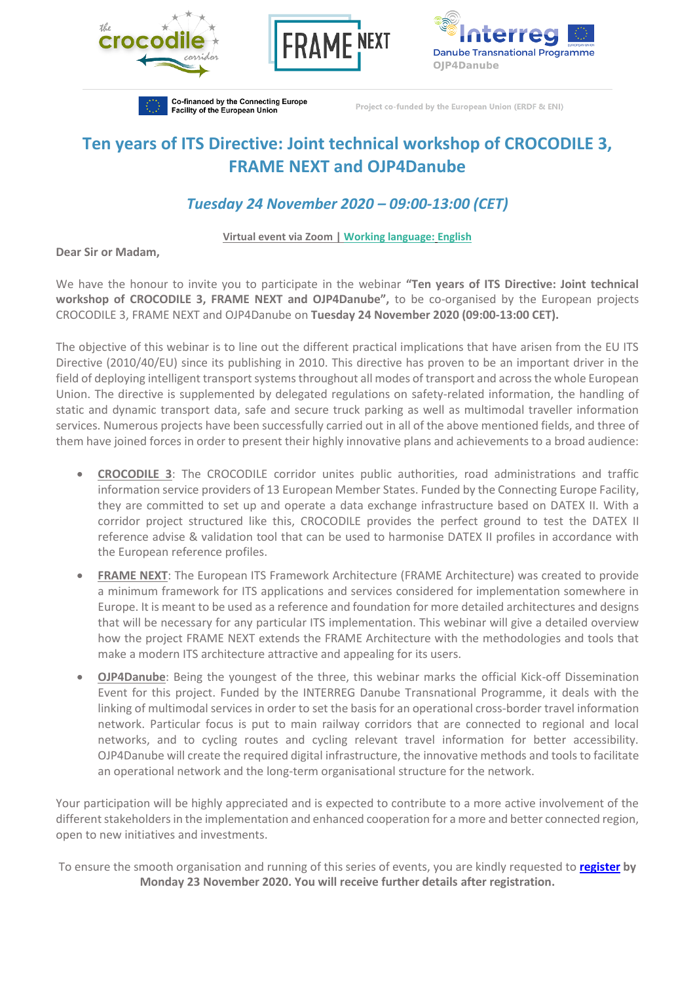





Co-financed by the Connecting Europe Facility of the European Union

Project co-funded by the European Union (ERDF & ENI)

## **Ten years of ITS Directive: Joint technical workshop of CROCODILE 3, FRAME NEXT and OJP4Danube**

## *Tuesday 24 November 2020 – 09:00-13:00 (CET)*

## **Virtual event via Zoom | Working language: English**

**Dear Sir or Madam,**

We have the honour to invite you to participate in the webinar **"Ten years of ITS Directive: Joint technical workshop of CROCODILE 3, FRAME NEXT and OJP4Danube",** to be co-organised by the European projects CROCODILE 3, FRAME NEXT and OJP4Danube on **Tuesday 24 November 2020 (09:00-13:00 CET).**

The objective of this webinar is to line out the different practical implications that have arisen from the EU ITS Directive (2010/40/EU) since its publishing in 2010. This directive has proven to be an important driver in the field of deploying intelligent transport systems throughout all modes of transport and across the whole European Union. The directive is supplemented by delegated regulations on safety-related information, the handling of static and dynamic transport data, safe and secure truck parking as well as multimodal traveller information services. Numerous projects have been successfully carried out in all of the above mentioned fields, and three of them have joined forces in order to present their highly innovative plans and achievements to a broad audience:

- **CROCODILE 3**: The CROCODILE corridor unites public authorities, road administrations and traffic information service providers of 13 European Member States. Funded by the Connecting Europe Facility, they are committed to set up and operate a data exchange infrastructure based on DATEX II. With a corridor project structured like this, CROCODILE provides the perfect ground to test the DATEX II reference advise & validation tool that can be used to harmonise DATEX II profiles in accordance with the European reference profiles.
- **FRAME NEXT**: The European ITS Framework Architecture (FRAME Architecture) was created to provide a minimum framework for ITS applications and services considered for implementation somewhere in Europe. It is meant to be used as a reference and foundation for more detailed architectures and designs that will be necessary for any particular ITS implementation. This webinar will give a detailed overview how the project FRAME NEXT extends the FRAME Architecture with the methodologies and tools that make a modern ITS architecture attractive and appealing for its users.
- **OJP4Danube**: Being the youngest of the three, this webinar marks the official Kick-off Dissemination Event for this project. Funded by the INTERREG Danube Transnational Programme, it deals with the linking of multimodal services in order to set the basis for an operational cross-border travel information network. Particular focus is put to main railway corridors that are connected to regional and local networks, and to cycling routes and cycling relevant travel information for better accessibility. OJP4Danube will create the required digital infrastructure, the innovative methods and tools to facilitate an operational network and the long-term organisational structure for the network.

Your participation will be highly appreciated and is expected to contribute to a more active involvement of the different stakeholders in the implementation and enhanced cooperation for a more and better connected region, open to new initiatives and investments.

To ensure the smooth organisation and running of this series of events, you are kindly requested to **[register](https://us02web.zoom.us/webinar/register/WN_OR6DkJTwTt6Q8X7gllV5WA) by Monday 23 November 2020. You will receive further details after registration.**